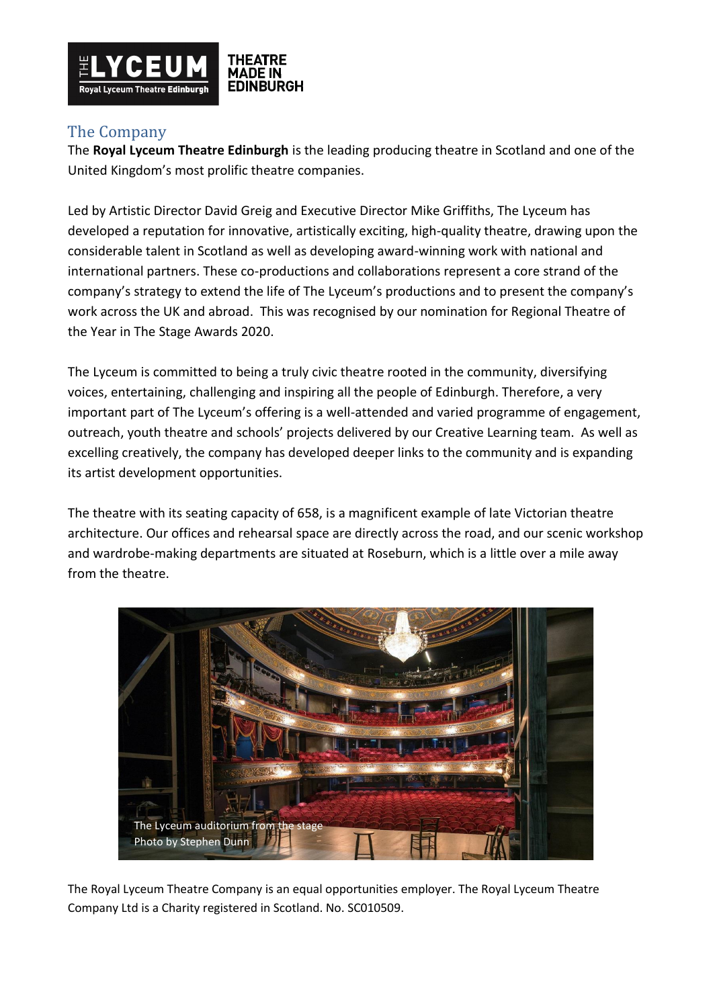

# The Company

The **Royal Lyceum Theatre Edinburgh** is the leading producing theatre in Scotland and one of the United Kingdom's most prolific theatre companies.

Led by Artistic Director David Greig and Executive Director Mike Griffiths, The Lyceum has developed a reputation for innovative, artistically exciting, high-quality theatre, drawing upon the considerable talent in Scotland as well as developing award-winning work with national and international partners. These co-productions and collaborations represent a core strand of the company's strategy to extend the life of The Lyceum's productions and to present the company's work across the UK and abroad. This was recognised by our nomination for Regional Theatre of the Year in The Stage Awards 2020.

The Lyceum is committed to being a truly civic theatre rooted in the community, diversifying voices, entertaining, challenging and inspiring all the people of Edinburgh. Therefore, a very important part of The Lyceum's offering is a well-attended and varied programme of engagement, outreach, youth theatre and schools' projects delivered by our Creative Learning team. As well as excelling creatively, the company has developed deeper links to the community and is expanding its artist development opportunities.

The theatre with its seating capacity of 658, is a magnificent example of late Victorian theatre architecture. Our offices and rehearsal space are directly across the road, and our scenic workshop and wardrobe-making departments are situated at Roseburn, which is a little over a mile away from the theatre.



The Royal Lyceum Theatre Company is an equal opportunities employer. The Royal Lyceum Theatre Company Ltd is a Charity registered in Scotland. No. SC010509.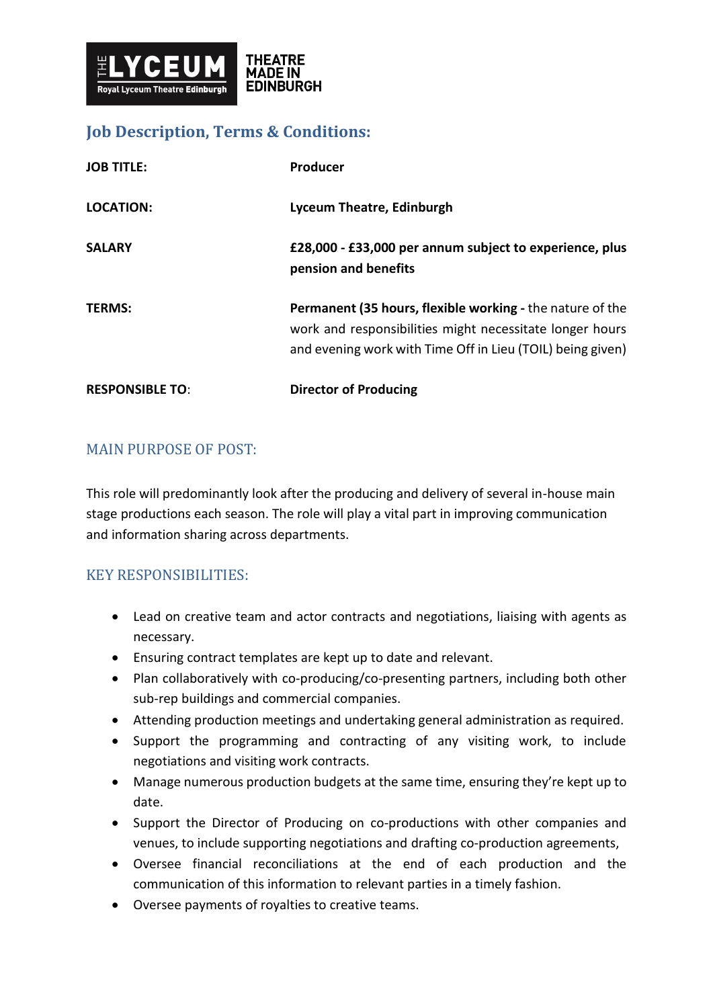

## **Job Description, Terms & Conditions:**

| <b>RESPONSIBLE TO:</b> | <b>Director of Producing</b>                                                                                                                                                               |
|------------------------|--------------------------------------------------------------------------------------------------------------------------------------------------------------------------------------------|
| <b>TERMS:</b>          | <b>Permanent (35 hours, flexible working - the nature of the</b><br>work and responsibilities might necessitate longer hours<br>and evening work with Time Off in Lieu (TOIL) being given) |
| <b>SALARY</b>          | £28,000 - £33,000 per annum subject to experience, plus<br>pension and benefits                                                                                                            |
| <b>LOCATION:</b>       | Lyceum Theatre, Edinburgh                                                                                                                                                                  |
| <b>JOB TITLE:</b>      | Producer                                                                                                                                                                                   |

## MAIN PURPOSE OF POST:

This role will predominantly look after the producing and delivery of several in-house main stage productions each season. The role will play a vital part in improving communication and information sharing across departments.

## KEY RESPONSIBILITIES:

- Lead on creative team and actor contracts and negotiations, liaising with agents as necessary.
- Ensuring contract templates are kept up to date and relevant.
- Plan collaboratively with co-producing/co-presenting partners, including both other sub-rep buildings and commercial companies.
- Attending production meetings and undertaking general administration as required.
- Support the programming and contracting of any visiting work, to include negotiations and visiting work contracts.
- Manage numerous production budgets at the same time, ensuring they're kept up to date.
- Support the Director of Producing on co-productions with other companies and venues, to include supporting negotiations and drafting co-production agreements,
- Oversee financial reconciliations at the end of each production and the communication of this information to relevant parties in a timely fashion.
- Oversee payments of royalties to creative teams.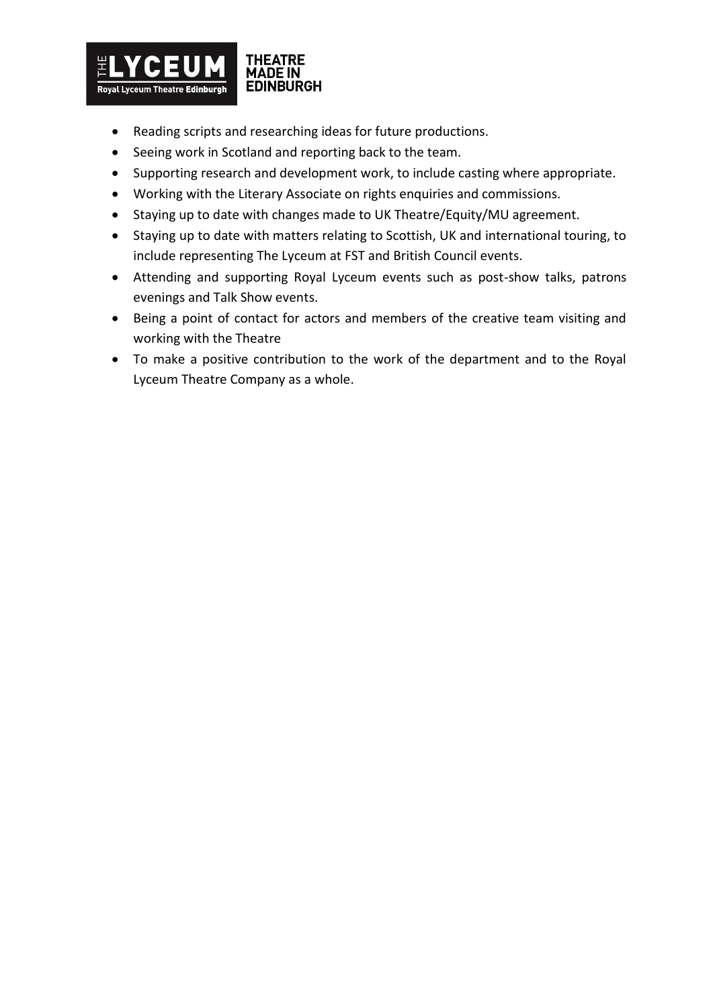

- Reading scripts and researching ideas for future productions.
- Seeing work in Scotland and reporting back to the team.
- Supporting research and development work, to include casting where appropriate.
- Working with the Literary Associate on rights enquiries and commissions.
- Staying up to date with changes made to UK Theatre/Equity/MU agreement.
- Staying up to date with matters relating to Scottish, UK and international touring, to include representing The Lyceum at FST and British Council events.
- Attending and supporting Royal Lyceum events such as post-show talks, patrons evenings and Talk Show events.
- Being a point of contact for actors and members of the creative team visiting and working with the Theatre
- To make a positive contribution to the work of the department and to the Royal Lyceum Theatre Company as a whole.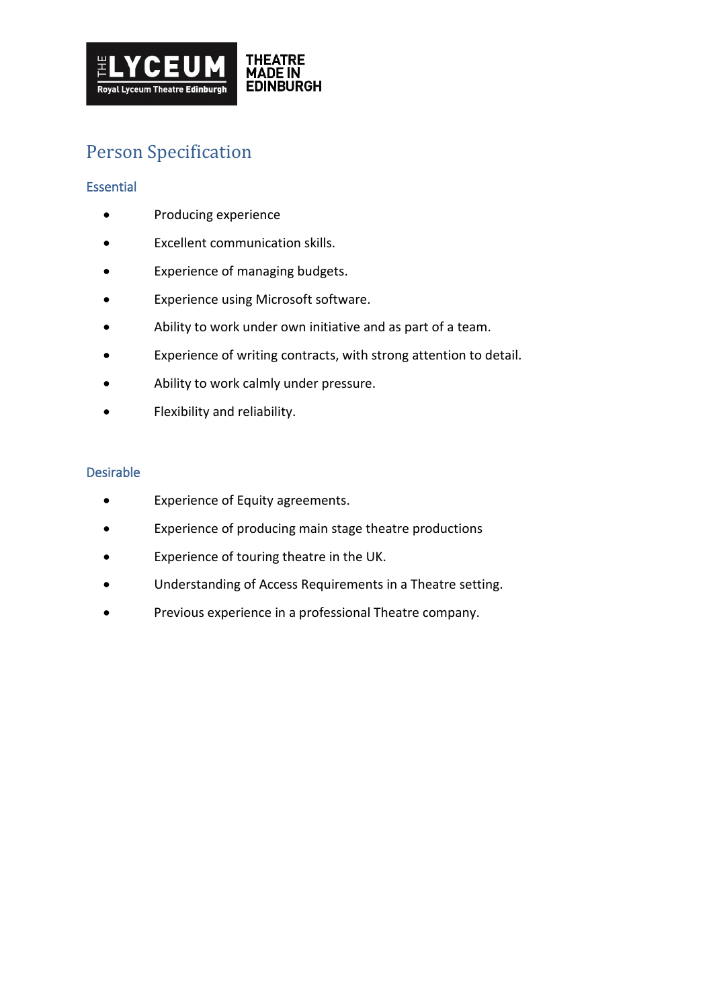

# Person Specification

### **Essential**

- Producing experience
- Excellent communication skills.
- Experience of managing budgets.
- Experience using Microsoft software.
- Ability to work under own initiative and as part of a team.
- Experience of writing contracts, with strong attention to detail.
- Ability to work calmly under pressure.
- Flexibility and reliability.

#### Desirable

- Experience of Equity agreements.
- Experience of producing main stage theatre productions
- Experience of touring theatre in the UK.
- Understanding of Access Requirements in a Theatre setting.
- Previous experience in a professional Theatre company.